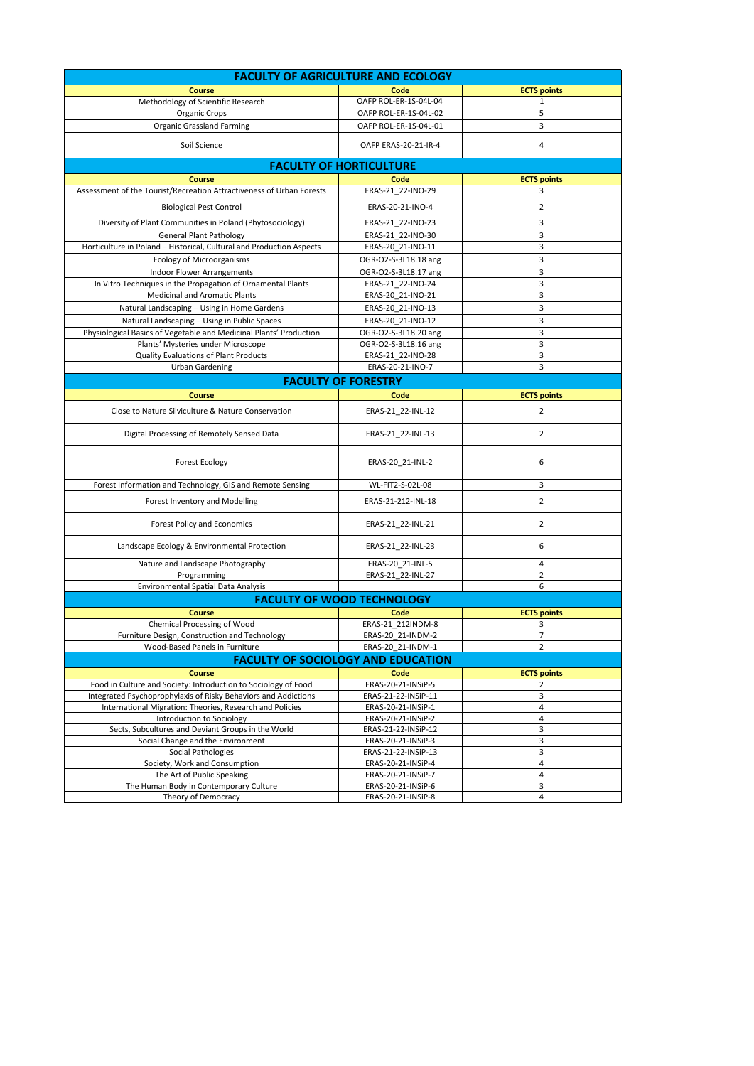| <b>FACULTY OF AGRICULTURE AND ECOLOGY</b>                                                           |                                                                |                         |  |  |
|-----------------------------------------------------------------------------------------------------|----------------------------------------------------------------|-------------------------|--|--|
| <b>Course</b>                                                                                       | Code                                                           | <b>ECTS points</b>      |  |  |
| Methodology of Scientific Research                                                                  | OAFP ROL-ER-1S-04L-04                                          | 1                       |  |  |
| Organic Crops                                                                                       | OAFP ROL-ER-1S-04L-02                                          | 5                       |  |  |
| <b>Organic Grassland Farming</b>                                                                    | OAFP ROL-ER-1S-04L-01                                          | 3                       |  |  |
| Soil Science                                                                                        | OAFP ERAS-20-21-IR-4                                           | 4                       |  |  |
|                                                                                                     | <b>FACULTY OF HORTICULTURE</b>                                 |                         |  |  |
| <b>Course</b>                                                                                       | Code                                                           | <b>ECTS points</b>      |  |  |
| Assessment of the Tourist/Recreation Attractiveness of Urban Forests                                | ERAS-21 22-INO-29                                              | 3                       |  |  |
| <b>Biological Pest Control</b>                                                                      | ERAS-20-21-INO-4                                               | 2                       |  |  |
| Diversity of Plant Communities in Poland (Phytosociology)                                           | ERAS-21_22-INO-23                                              | 3                       |  |  |
| <b>General Plant Pathology</b>                                                                      | ERAS-21_22-INO-30                                              | 3                       |  |  |
| Horticulture in Poland - Historical, Cultural and Production Aspects                                | ERAS-20_21-INO-11                                              | 3                       |  |  |
| <b>Ecology of Microorganisms</b>                                                                    | OGR-O2-S-3L18.18 ang                                           | 3                       |  |  |
| Indoor Flower Arrangements                                                                          | OGR-O2-S-3L18.17 ang                                           | 3<br>3                  |  |  |
| In Vitro Techniques in the Propagation of Ornamental Plants<br><b>Medicinal and Aromatic Plants</b> | ERAS-21 22-INO-24<br>ERAS-20_21-INO-21                         | 3                       |  |  |
| Natural Landscaping - Using in Home Gardens                                                         | ERAS-20_21-INO-13                                              | 3                       |  |  |
| Natural Landscaping - Using in Public Spaces                                                        | ERAS-20 21-INO-12                                              | 3                       |  |  |
| Physiological Basics of Vegetable and Medicinal Plants' Production                                  | OGR-O2-S-3L18.20 ang                                           | 3                       |  |  |
| Plants' Mysteries under Microscope                                                                  | OGR-O2-S-3L18.16 ang                                           | 3                       |  |  |
| Quality Evaluations of Plant Products                                                               | ERAS-21_22-INO-28                                              | 3                       |  |  |
| <b>Urban Gardening</b>                                                                              | ERAS-20-21-INO-7                                               | 3                       |  |  |
| <b>FACULTY OF FORESTRY</b>                                                                          |                                                                |                         |  |  |
| <b>Course</b>                                                                                       | Code                                                           | <b>ECTS points</b>      |  |  |
| Close to Nature Silviculture & Nature Conservation                                                  | ERAS-21 22-INL-12                                              | 2                       |  |  |
| Digital Processing of Remotely Sensed Data                                                          | ERAS-21_22-INL-13                                              | 2                       |  |  |
| <b>Forest Ecology</b>                                                                               | ERAS-20_21-INL-2                                               | 6                       |  |  |
| Forest Information and Technology, GIS and Remote Sensing                                           | WL-FIT2-S-02L-08                                               | 3                       |  |  |
| Forest Inventory and Modelling                                                                      | ERAS-21-212-INL-18                                             | 2                       |  |  |
| Forest Policy and Economics                                                                         | ERAS-21_22-INL-21                                              | $\overline{2}$          |  |  |
| Landscape Ecology & Environmental Protection                                                        | ERAS-21_22-INL-23                                              | 6                       |  |  |
| Nature and Landscape Photography                                                                    | ERAS-20_21-INL-5                                               | 4                       |  |  |
| Programming                                                                                         | ERAS-21_22-INL-27                                              | $\overline{2}$          |  |  |
| <b>Environmental Spatial Data Analysis</b>                                                          |                                                                | 6                       |  |  |
| <b>FACULTY OF WOOD TECHNOLOGY</b>                                                                   |                                                                |                         |  |  |
| <b>Course</b>                                                                                       | Code                                                           | <b>ECTS points</b>      |  |  |
| Chemical Processing of Wood                                                                         | ERAS-21_212INDM-8                                              | 3                       |  |  |
| Furniture Design, Construction and Technology<br>Wood-Based Panels in Furniture                     | ERAS-20_21-INDM-2                                              | 2                       |  |  |
|                                                                                                     | ERAS-20_21-INDM-1<br><b>FACULTY OF SOCIOLOGY AND EDUCATION</b> |                         |  |  |
| <b>Course</b>                                                                                       | Code                                                           |                         |  |  |
| Food in Culture and Society: Introduction to Sociology of Food                                      | ERAS-20-21-INSiP-5                                             | <b>ECTS points</b><br>2 |  |  |
| Integrated Psychoprophylaxis of Risky Behaviors and Addictions                                      | ERAS-21-22-INSiP-11                                            | 3                       |  |  |
| International Migration: Theories, Research and Policies                                            | ERAS-20-21-INSiP-1                                             | 4                       |  |  |
| Introduction to Sociology                                                                           | ERAS-20-21-INSiP-2                                             | 4                       |  |  |
| Sects, Subcultures and Deviant Groups in the World                                                  | ERAS-21-22-INSiP-12                                            | 3                       |  |  |
| Social Change and the Environment                                                                   | ERAS-20-21-INSiP-3                                             | 3                       |  |  |
| Social Pathologies                                                                                  | ERAS-21-22-INSiP-13                                            | 3                       |  |  |
| Society, Work and Consumption<br>The Art of Public Speaking                                         | ERAS-20-21-INSiP-4<br>ERAS-20-21-INSiP-7                       | 4<br>4                  |  |  |
| The Human Body in Contemporary Culture                                                              | ERAS-20-21-INSiP-6                                             | 3                       |  |  |
| Theory of Democracy                                                                                 | ERAS-20-21-INSiP-8                                             | 4                       |  |  |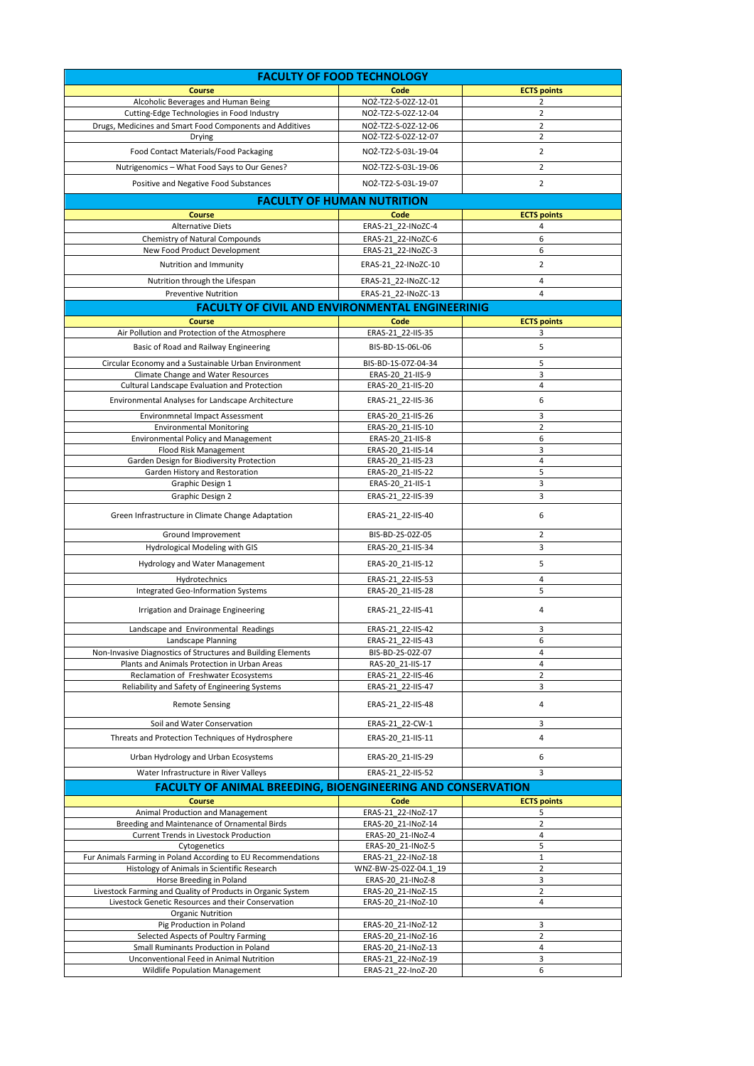| <b>FACULTY OF FOOD TECHNOLOGY</b>                                                                                 |                                          |                         |  |  |
|-------------------------------------------------------------------------------------------------------------------|------------------------------------------|-------------------------|--|--|
| Course                                                                                                            | Code                                     | <b>ECTS points</b>      |  |  |
| Alcoholic Beverages and Human Being                                                                               | NO2-TZ2-S-02Z-12-01                      | 2                       |  |  |
| Cutting-Edge Technologies in Food Industry                                                                        | NO2-TZ2-S-02Z-12-04                      | 2                       |  |  |
| Drugs, Medicines and Smart Food Components and Additives                                                          | NO2-TZ2-S-02Z-12-06                      | $\overline{2}$          |  |  |
| Drying                                                                                                            | NOŻ-TZ2-S-02Z-12-07                      | $\overline{2}$          |  |  |
| Food Contact Materials/Food Packaging                                                                             | NOŻ-TZ2-S-03L-19-04                      | 2                       |  |  |
| Nutrigenomics - What Food Says to Our Genes?                                                                      | NOŻ-TZ2-S-03L-19-06                      | $\overline{2}$          |  |  |
| Positive and Negative Food Substances                                                                             | NO2-TZ2-S-03L-19-07                      | 2                       |  |  |
| <b>FACULTY OF HUMAN NUTRITION</b>                                                                                 |                                          |                         |  |  |
| <b>Course</b>                                                                                                     | Code                                     | <b>ECTS points</b>      |  |  |
| <b>Alternative Diets</b>                                                                                          | ERAS-21 22-INoZC-4                       | 4                       |  |  |
| Chemistry of Natural Compounds                                                                                    | ERAS-21 22-INoZC-6                       | 6                       |  |  |
| New Food Product Development                                                                                      | ERAS-21 22-INoZC-3                       | 6                       |  |  |
| Nutrition and Immunity                                                                                            | ERAS-21_22-INoZC-10                      | 2                       |  |  |
| Nutrition through the Lifespan                                                                                    | ERAS-21_22-INoZC-12                      | 4                       |  |  |
| <b>Preventive Nutrition</b>                                                                                       | ERAS-21_22-INoZC-13                      | 4                       |  |  |
| <b>FACULTY OF CIVIL AND ENVIRONMENTAL ENGINEERINIG</b>                                                            |                                          |                         |  |  |
| <b>Course</b><br>Air Pollution and Protection of the Atmosphere                                                   | Code                                     | <b>ECTS points</b><br>3 |  |  |
|                                                                                                                   | ERAS-21_22-IIS-35                        |                         |  |  |
| Basic of Road and Railway Engineering                                                                             | BIS-BD-1S-06L-06                         | 5                       |  |  |
| Circular Economy and a Sustainable Urban Environment                                                              | BIS-BD-1S-07Z-04-34                      | 5<br>3                  |  |  |
| Climate Change and Water Resources<br>Cultural Landscape Evaluation and Protection                                | ERAS-20 21-IIS-9<br>ERAS-20_21-IIS-20    | 4                       |  |  |
| Environmental Analyses for Landscape Architecture                                                                 | ERAS-21_22-IIS-36                        | 6                       |  |  |
|                                                                                                                   |                                          |                         |  |  |
| <b>Environmnetal Impact Assessment</b><br><b>Environmental Monitoring</b>                                         | ERAS-20 21-IIS-26<br>ERAS-20 21-IIS-10   | 3<br>$\overline{2}$     |  |  |
| <b>Environmental Policy and Management</b>                                                                        | ERAS-20 21-IIS-8                         | 6                       |  |  |
| Flood Risk Management                                                                                             | ERAS-20_21-IIS-14                        | 3                       |  |  |
| Garden Design for Biodiversity Protection                                                                         | ERAS-20_21-IIS-23                        | 4                       |  |  |
| Garden History and Restoration<br>Graphic Design 1                                                                | ERAS-20_21-IIS-22                        | 5<br>3                  |  |  |
| Graphic Design 2                                                                                                  | ERAS-20_21-IIS-1<br>ERAS-21 22-IIS-39    | 3                       |  |  |
|                                                                                                                   |                                          |                         |  |  |
| Green Infrastructure in Climate Change Adaptation                                                                 | ERAS-21_22-IIS-40                        | 6                       |  |  |
| Ground Improvement                                                                                                | BIS-BD-2S-02Z-05                         | 2                       |  |  |
| Hydrological Modeling with GIS                                                                                    | ERAS-20_21-IIS-34                        | 3                       |  |  |
| Hydrology and Water Management                                                                                    | ERAS-20_21-IIS-12                        | 5                       |  |  |
| Hydrotechnics                                                                                                     | ERAS-21 22-IIS-53                        | 4                       |  |  |
| Integrated Geo-Information Systems                                                                                | ERAS-20_21-IIS-28                        | 5                       |  |  |
| Irrigation and Drainage Engineering                                                                               | ERAS-21_22-IIS-41                        | 4                       |  |  |
| Landscape and Environmental Readings                                                                              | ERAS-21 22-IIS-42                        | 3                       |  |  |
| Landscape Planning                                                                                                | ERAS-21_22-IIS-43                        | 6                       |  |  |
| Non-Invasive Diagnostics of Structures and Building Elements<br>Plants and Animals Protection in Urban Areas      | BIS-BD-2S-02Z-07<br>RAS-20 21-IIS-17     | 4<br>4                  |  |  |
| Reclamation of Freshwater Ecosystems                                                                              | ERAS-21_22-IIS-46                        | $\overline{2}$          |  |  |
| Reliability and Safety of Engineering Systems                                                                     | ERAS-21_22-IIS-47                        | 3                       |  |  |
| <b>Remote Sensing</b>                                                                                             | ERAS-21_22-IIS-48                        | 4                       |  |  |
| Soil and Water Conservation                                                                                       | ERAS-21_22-CW-1                          | 3                       |  |  |
| Threats and Protection Techniques of Hydrosphere                                                                  | ERAS-20_21-IIS-11                        | 4                       |  |  |
| Urban Hydrology and Urban Ecosystems                                                                              | ERAS-20_21-IIS-29                        | 6                       |  |  |
| Water Infrastructure in River Valleys                                                                             | ERAS-21_22-IIS-52                        | 3                       |  |  |
| <b>FACULTY OF ANIMAL BREEDING, BIOENGINEERING AND CONSERVATION</b>                                                |                                          |                         |  |  |
| <b>Course</b>                                                                                                     | Code                                     | <b>ECTS points</b>      |  |  |
| Animal Production and Management                                                                                  | ERAS-21_22-INoZ-17                       | 5                       |  |  |
| Breeding and Maintenance of Ornamental Birds                                                                      | ERAS-20_21-INoZ-14                       | $\overline{2}$<br>4     |  |  |
| Current Trends in Livestock Production<br>Cytogenetics                                                            | ERAS-20 21-INoZ-4<br>ERAS-20_21-INoZ-5   | 5                       |  |  |
| Fur Animals Farming in Poland According to EU Recommendations                                                     | ERAS-21_22-INoZ-18                       | 1                       |  |  |
| Histology of Animals in Scientific Research                                                                       | WNZ-BW-2S-02Z-04.1_19                    | $\overline{2}$          |  |  |
| Horse Breeding in Poland                                                                                          | ERAS-20 21-INoZ-8                        | 3                       |  |  |
| Livestock Farming and Quality of Products in Organic System<br>Livestock Genetic Resources and their Conservation | ERAS-20 21-INoZ-15<br>ERAS-20 21-INoZ-10 | $\overline{2}$<br>4     |  |  |
| <b>Organic Nutrition</b>                                                                                          |                                          |                         |  |  |
| Pig Production in Poland                                                                                          | ERAS-20_21-INoZ-12                       | 3                       |  |  |
| Selected Aspects of Poultry Farming                                                                               | ERAS-20 21-INoZ-16                       | $\overline{2}$          |  |  |
| Small Ruminants Production in Poland<br>Unconventional Feed in Animal Nutrition                                   | ERAS-20_21-INoZ-13<br>ERAS-21_22-INoZ-19 | 4<br>3                  |  |  |
| <b>Wildlife Population Management</b>                                                                             | ERAS-21_22-InoZ-20                       | 6                       |  |  |